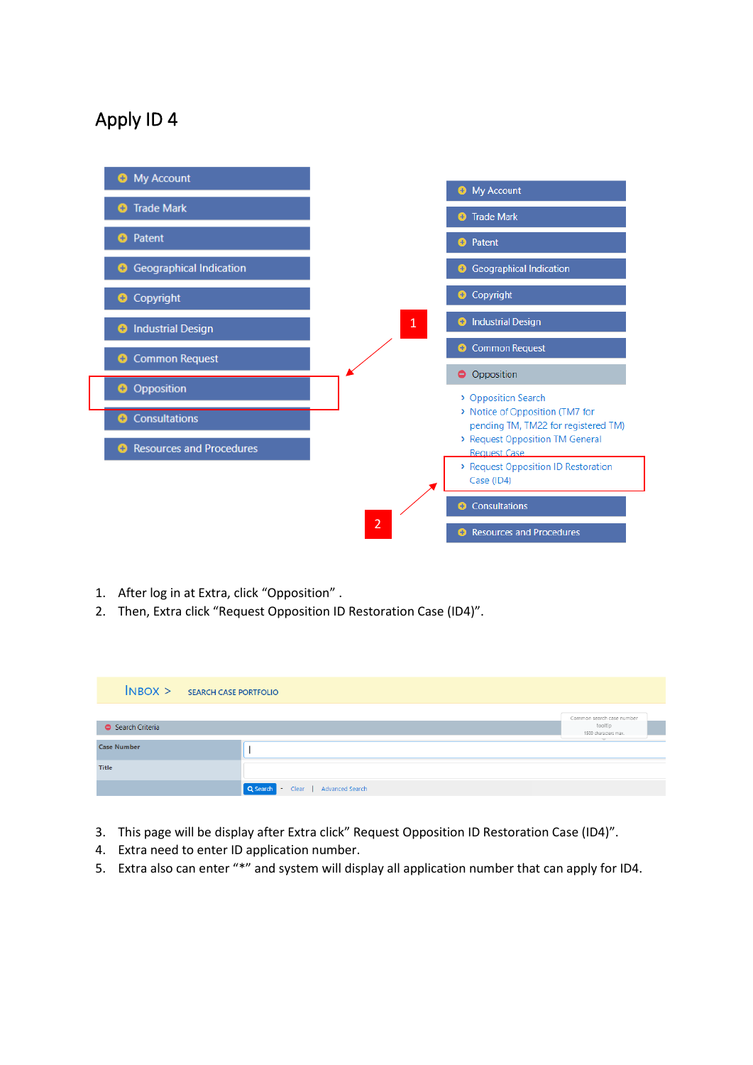## Apply ID 4



- 1. After log in at Extra, click "Opposition" .
- 2. Then, Extra click "Request Opposition ID Restoration Case (ID4)".

|                    | $N$ BOX > SEARCH CASE PORTFOLIO               |                                                              |
|--------------------|-----------------------------------------------|--------------------------------------------------------------|
| Search Criteria    |                                               | Common search case number<br>tooltip<br>1500 characters max. |
| <b>Case Number</b> |                                               |                                                              |
| <b>Title</b>       |                                               |                                                              |
|                    | Q Search<br>Clear   Advanced Search<br>$\sim$ |                                                              |

- 3. This page will be display after Extra click" Request Opposition ID Restoration Case (ID4)".
- 4. Extra need to enter ID application number.
- 5. Extra also can enter "\*" and system will display all application number that can apply for ID4.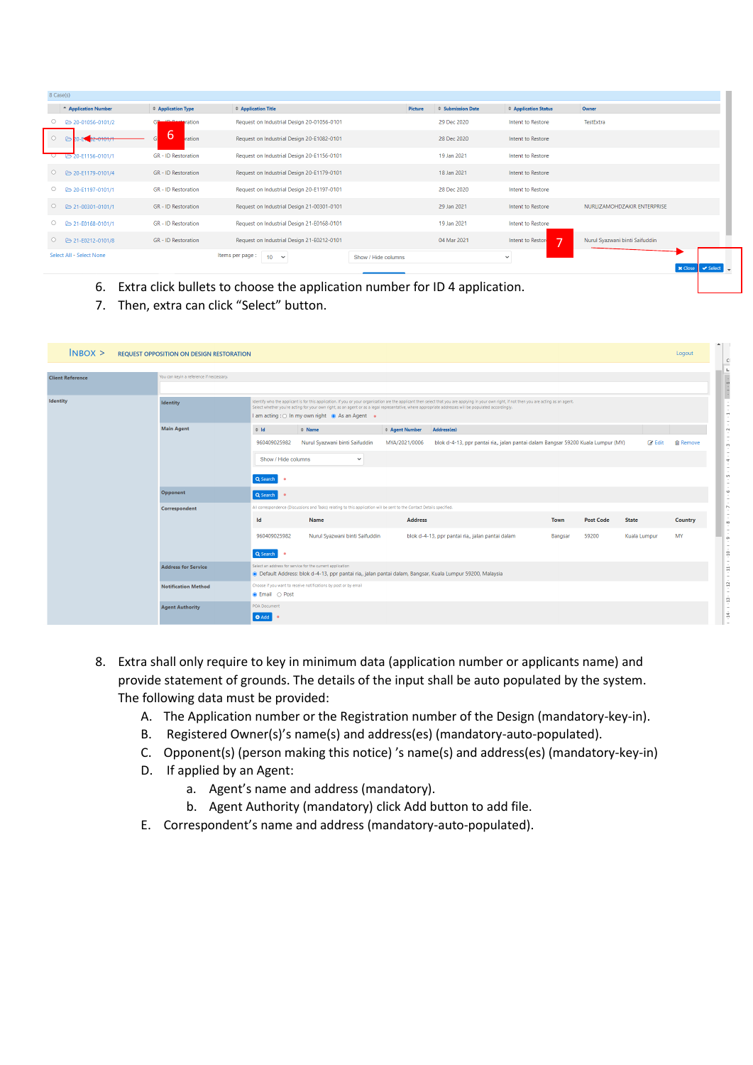| 8 Case(s) |                                 |                            |                                                     |                     |                           |                                              |                                |  |
|-----------|---------------------------------|----------------------------|-----------------------------------------------------|---------------------|---------------------------|----------------------------------------------|--------------------------------|--|
|           | <sup>-</sup> Application Number | <b>↓ Application Type</b>  | <b>↓ Application Title</b>                          | Picture             | $\hat{=}$ Submission Date | <b>↓ Application Status</b>                  | Owner                          |  |
| $\circ$   | 20-01056-0101/2                 | <b>In Best pration</b>     | Request on Industrial Design 20-01056-0101          |                     | 29 Dec 2020               | Intent to Restore                            | TestExtra                      |  |
| $\circ$   | 32-0101/1<br>$\triangleright$   | b<br>ration                | Request on Industrial Design 20-E1082-0101          |                     | 28 Dec 2020               | Intent to Restore                            |                                |  |
| ਼         | B 20-E1156-0101/1               | <b>GR</b> - ID Restoration | Request on Industrial Design 20-E1156-0101          |                     | 19 Jan 2021               | Intent to Restore                            |                                |  |
| $\circ$   | <b>€</b> 20-E1179-0101/4        | <b>GR - ID Restoration</b> | Request on Industrial Design 20-E1179-0101          |                     | 18 Jan 2021               | Intent to Restore                            |                                |  |
| $\circ$   | 20-E1197-0101/1                 | <b>GR - ID Restoration</b> | Request on Industrial Design 20-E1197-0101          |                     | 28 Dec 2020               | Intent to Restore                            |                                |  |
| $\circ$   | 21-00301-0101/1                 | <b>GR - ID Restoration</b> | Request on Industrial Design 21-00301-0101          |                     | 29 Jan 2021               | Intent to Restore                            | NURLIZAMOHDZAKIR ENTERPRISE    |  |
| $\circ$   | 21-E0168-0101/1                 | <b>GR - ID Restoration</b> | Request on Industrial Design 21-E0168-0101          |                     | 19 Jan 2021               | Intent to Restore                            |                                |  |
| $\circ$   | 21-E0212-0101/8                 | <b>GR</b> - ID Restoration | Request on Industrial Design 21-E0212-0101          |                     | 04 Mar 2021               | Intent to Reston<br>$\overline{\phantom{a}}$ | Nurul Syazwani binti Saifuddin |  |
|           | Select All - Select None        |                            | Items per page :<br>10 <sup>1</sup><br>$\checkmark$ | Show / Hide columns |                           | $\checkmark$                                 |                                |  |
|           |                                 |                            |                                                     |                     |                           |                                              | <b>x</b> Close                 |  |

- 6. Extra click bullets to choose the application number for ID 4 application.
- 7. Then, extra can click "Select" button.

| $N$ BOX $>$<br><b>REQUEST OPPOSITION ON DESIGN RESTORATION</b> |                                          |                                                                                                                                                                         |                                                                                                                                                                                                                                                                                                                                                                                                            |                                        |                                                                                                 |             |                  |               | Logout          |  |  |
|----------------------------------------------------------------|------------------------------------------|-------------------------------------------------------------------------------------------------------------------------------------------------------------------------|------------------------------------------------------------------------------------------------------------------------------------------------------------------------------------------------------------------------------------------------------------------------------------------------------------------------------------------------------------------------------------------------------------|----------------------------------------|-------------------------------------------------------------------------------------------------|-------------|------------------|---------------|-----------------|--|--|
| <b>Client Reference</b>                                        | You can keyin a reference if neccessary. |                                                                                                                                                                         |                                                                                                                                                                                                                                                                                                                                                                                                            |                                        |                                                                                                 |             |                  |               |                 |  |  |
| <b>Identity</b>                                                | Identity                                 |                                                                                                                                                                         | Identify who the applicant is for this application. If you or your organisation are the applicant then select that you are applying in your own right, if not then you are acting as an agent.<br>Select whether you're acting for your own right, as an agent or as a legal representative, where appropriate addresses will be populated accordingly.<br>I am acting : O In my own right @ As an Agent . |                                        |                                                                                                 |             |                  |               |                 |  |  |
|                                                                | <b>Main Agent</b>                        | $\Leftrightarrow$ 1d<br>960409025982                                                                                                                                    | $\Leftrightarrow$ Name<br>Nurul Syazwani binti Saifuddin                                                                                                                                                                                                                                                                                                                                                   | <b>↓ Agent Number</b><br>MYA/2021/0006 | Address(es)<br>blok d-4-13, ppr pantai ria,, jalan pantai dalam Bangsar 59200 Kuala Lumpur (MY) |             |                  | <b>R</b> Edit | <b>俞 Remove</b> |  |  |
|                                                                |                                          | Show / Hide columns                                                                                                                                                     | $\check{~}$                                                                                                                                                                                                                                                                                                                                                                                                |                                        |                                                                                                 |             |                  |               |                 |  |  |
|                                                                |                                          | Q Search                                                                                                                                                                |                                                                                                                                                                                                                                                                                                                                                                                                            |                                        |                                                                                                 |             |                  |               |                 |  |  |
|                                                                | Opponent<br>Q Search<br>$\bullet$        |                                                                                                                                                                         |                                                                                                                                                                                                                                                                                                                                                                                                            |                                        |                                                                                                 |             |                  |               |                 |  |  |
|                                                                | Correspondent                            | All correspondence (Discussions and Tasks) relating to this application will be sent to the Contact Details specified.                                                  |                                                                                                                                                                                                                                                                                                                                                                                                            |                                        |                                                                                                 |             |                  |               |                 |  |  |
|                                                                |                                          | Id                                                                                                                                                                      | Name                                                                                                                                                                                                                                                                                                                                                                                                       | <b>Address</b>                         |                                                                                                 | <b>Town</b> | <b>Post Code</b> | <b>State</b>  | <b>Country</b>  |  |  |
|                                                                |                                          | 960409025982                                                                                                                                                            | Nurul Syazwani binti Saifuddin                                                                                                                                                                                                                                                                                                                                                                             |                                        | blok d-4-13, ppr pantai ria,, jalan pantai dalam                                                | Bangsar     | 59200            | Kuala Lumpur  | MY              |  |  |
|                                                                |                                          | Q Search                                                                                                                                                                |                                                                                                                                                                                                                                                                                                                                                                                                            |                                        |                                                                                                 |             |                  |               |                 |  |  |
|                                                                | <b>Address for Service</b>               | Select an address for service for the current application<br>· Default Address: blok d-4-13, ppr pantai ria,, jalan pantai dalam, Bangsar, Kuala Lumpur 59200, Malaysia |                                                                                                                                                                                                                                                                                                                                                                                                            |                                        |                                                                                                 |             |                  |               |                 |  |  |
|                                                                | <b>Notification Method</b>               | ● Email ○ Post                                                                                                                                                          | Choose if you want to receive notifications by post or by email                                                                                                                                                                                                                                                                                                                                            |                                        |                                                                                                 |             |                  |               |                 |  |  |
|                                                                | <b>Agent Authority</b>                   | <b>POA Document</b><br>O Add                                                                                                                                            |                                                                                                                                                                                                                                                                                                                                                                                                            |                                        |                                                                                                 |             |                  |               |                 |  |  |

- 8. Extra shall only require to key in minimum data (application number or applicants name) and provide statement of grounds. The details of the input shall be auto populated by the system. The following data must be provided:
	- A. The Application number or the Registration number of the Design (mandatory-key-in).
	- B. Registered Owner(s)'s name(s) and address(es) (mandatory-auto-populated).
	- C. Opponent(s) (person making this notice) 's name(s) and address(es) (mandatory-key-in)
	- D. If applied by an Agent:
		- a. Agent's name and address (mandatory).
		- b. Agent Authority (mandatory) click Add button to add file.
	- E. Correspondent's name and address (mandatory-auto-populated).